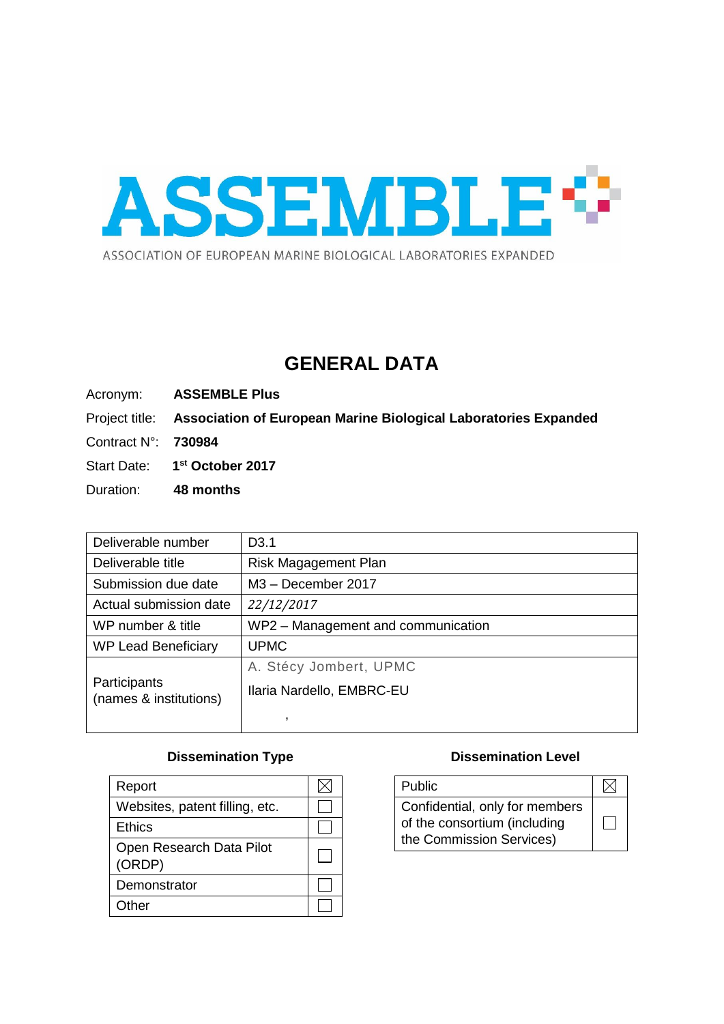

## **GENERAL DATA**

- Acronym: **ASSEMBLE Plus**
- Project title: **Association of European Marine Biological Laboratories Expanded**
- Contract N°: **730984**
- Start Date: **1 st October 2017**
- Duration: **48 months**

| Deliverable number                     | D <sub>3.1</sub>                   |  |  |  |
|----------------------------------------|------------------------------------|--|--|--|
| Deliverable title                      | Risk Magagement Plan               |  |  |  |
| Submission due date                    | M <sub>3</sub> - December 2017     |  |  |  |
| Actual submission date                 | 22/12/2017                         |  |  |  |
| WP number & title                      | WP2 - Management and communication |  |  |  |
| <b>WP Lead Beneficiary</b>             | <b>UPMC</b>                        |  |  |  |
|                                        | A. Stécy Jombert, UPMC             |  |  |  |
| Participants<br>(names & institutions) | Ilaria Nardello, EMBRC-EU          |  |  |  |
|                                        |                                    |  |  |  |

#### **Dissemination Type**

| Report                             |  |
|------------------------------------|--|
| Websites, patent filling, etc.     |  |
| Ethics                             |  |
| Open Research Data Pilot<br>(ORDP) |  |
| Demonstrator                       |  |
| Other                              |  |

#### **Dissemination Level**

| <b>Public</b>                                                                              |  |
|--------------------------------------------------------------------------------------------|--|
| Confidential, only for members<br>of the consortium (including<br>the Commission Services) |  |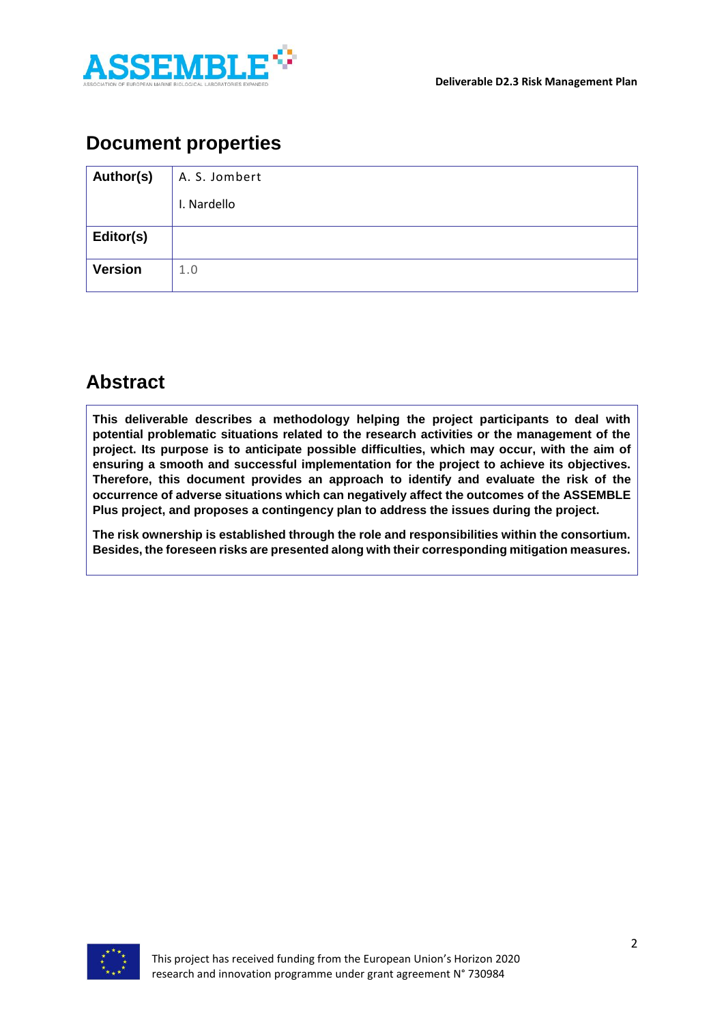

### **Document properties**

| Author(s)      | A. S. Jombert |
|----------------|---------------|
|                | I. Nardello   |
| Editor(s)      |               |
| <b>Version</b> | 1.0           |

### **Abstract**

**This deliverable describes a methodology helping the project participants to deal with potential problematic situations related to the research activities or the management of the project. Its purpose is to anticipate possible difficulties, which may occur, with the aim of ensuring a smooth and successful implementation for the project to achieve its objectives. Therefore, this document provides an approach to identify and evaluate the risk of the occurrence of adverse situations which can negatively affect the outcomes of the ASSEMBLE Plus project, and proposes a contingency plan to address the issues during the project.** 

**The risk ownership is established through the role and responsibilities within the consortium. Besides, the foreseen risks are presented along with their corresponding mitigation measures.**

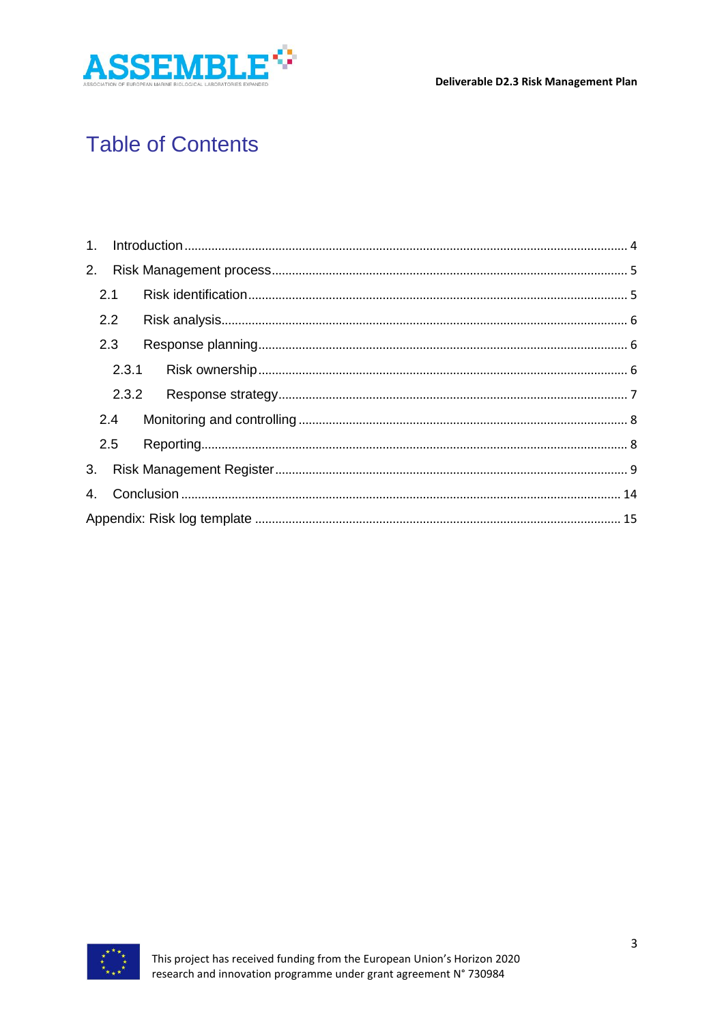

Deliverable D2.3 Risk Management Plan

# **Table of Contents**

| 2. |       |  |
|----|-------|--|
|    | 2.1   |  |
|    | 2.2   |  |
|    | 2.3   |  |
|    |       |  |
|    | 2.3.2 |  |
|    | 2.4   |  |
|    | 2.5   |  |
|    |       |  |
| 4. |       |  |
|    |       |  |

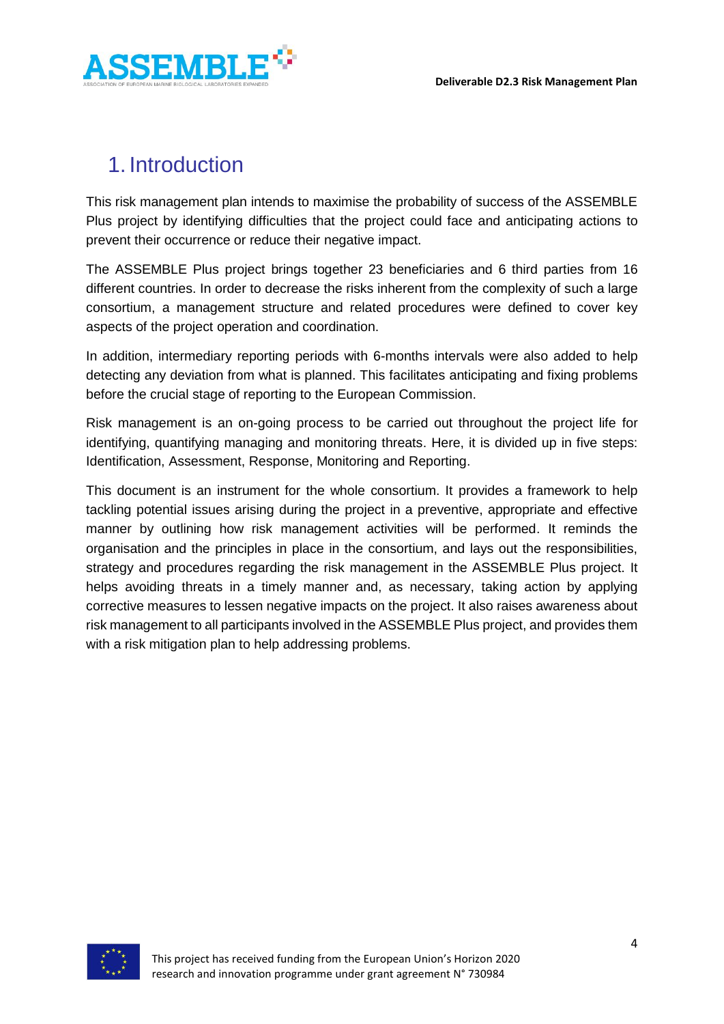

## <span id="page-3-0"></span>1. Introduction

This risk management plan intends to maximise the probability of success of the ASSEMBLE Plus project by identifying difficulties that the project could face and anticipating actions to prevent their occurrence or reduce their negative impact.

The ASSEMBLE Plus project brings together 23 beneficiaries and 6 third parties from 16 different countries. In order to decrease the risks inherent from the complexity of such a large consortium, a management structure and related procedures were defined to cover key aspects of the project operation and coordination.

In addition, intermediary reporting periods with 6-months intervals were also added to help detecting any deviation from what is planned. This facilitates anticipating and fixing problems before the crucial stage of reporting to the European Commission.

Risk management is an on-going process to be carried out throughout the project life for identifying, quantifying managing and monitoring threats. Here, it is divided up in five steps: Identification, Assessment, Response, Monitoring and Reporting.

This document is an instrument for the whole consortium. It provides a framework to help tackling potential issues arising during the project in a preventive, appropriate and effective manner by outlining how risk management activities will be performed. It reminds the organisation and the principles in place in the consortium, and lays out the responsibilities, strategy and procedures regarding the risk management in the ASSEMBLE Plus project. It helps avoiding threats in a timely manner and, as necessary, taking action by applying corrective measures to lessen negative impacts on the project. It also raises awareness about risk management to all participants involved in the ASSEMBLE Plus project, and provides them with a risk mitigation plan to help addressing problems.

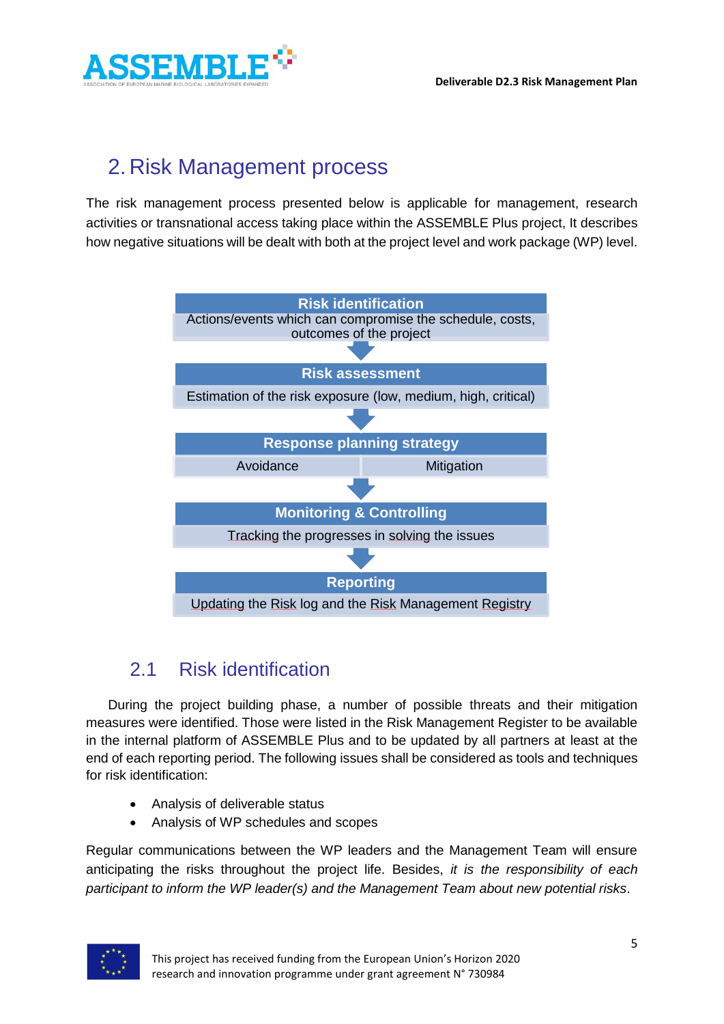

## <span id="page-4-0"></span>2. Risk Management process

The risk management process presented below is applicable for management, research activities or transnational access taking place within the ASSEMBLE Plus project, It describes how negative situations will be dealt with both at the project level and work package (WP) level.



## 2.1 Risk identification

<span id="page-4-1"></span>During the project building phase, a number of possible threats and their mitigation measures were identified. Those were listed in the Risk Management Register to be available in the internal platform of ASSEMBLE Plus and to be updated by all partners at least at the end of each reporting period. The following issues shall be considered as tools and techniques for risk identification:

- Analysis of deliverable status
- Analysis of WP schedules and scopes

Regular communications between the WP leaders and the Management Team will ensure anticipating the risks throughout the project life. Besides, *it is the responsibility of each participant to inform the WP leader(s) and the Management Team about new potential risks*.

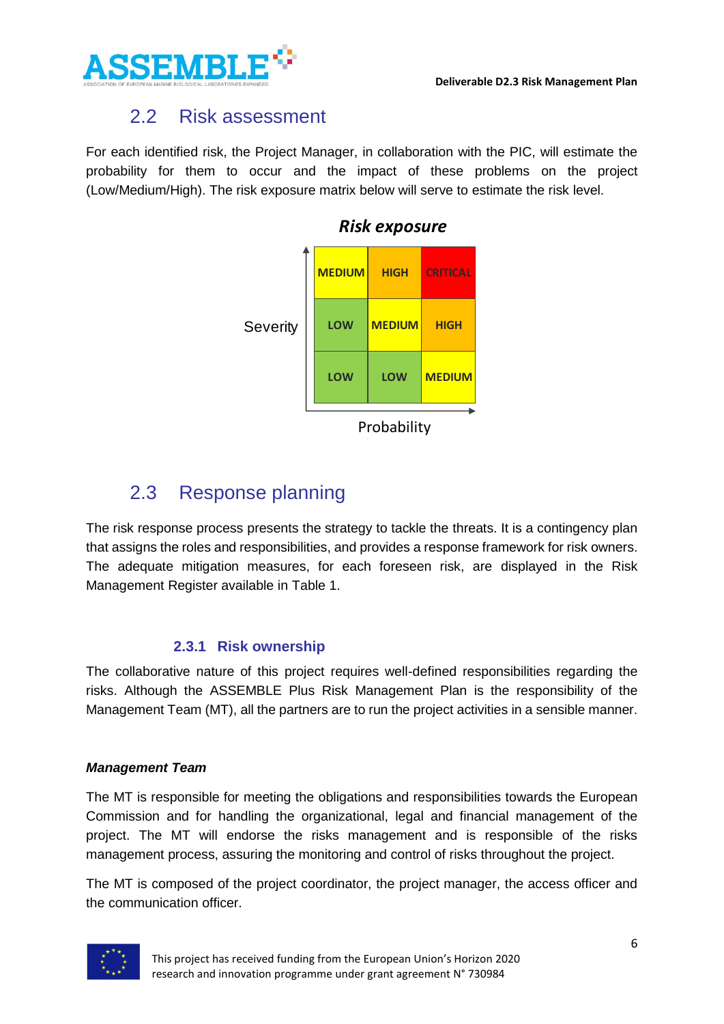

### 2.2 Risk assessment

<span id="page-5-0"></span>For each identified risk, the Project Manager, in collaboration with the PIC, will estimate the probability for them to occur and the impact of these problems on the project (Low/Medium/High). The risk exposure matrix below will serve to estimate the risk level.



### *Risk exposure*

### 2.3 Response planning

<span id="page-5-1"></span>The risk response process presents the strategy to tackle the threats. It is a contingency plan that assigns the roles and responsibilities, and provides a response framework for risk owners. The adequate mitigation measures, for each foreseen risk, are displayed in the Risk Management Register available in Table 1.

#### **2.3.1 Risk ownership**

<span id="page-5-2"></span>The collaborative nature of this project requires well-defined responsibilities regarding the risks. Although the ASSEMBLE Plus Risk Management Plan is the responsibility of the Management Team (MT), all the partners are to run the project activities in a sensible manner.

#### *Management Team*

The MT is responsible for meeting the obligations and responsibilities towards the European Commission and for handling the organizational, legal and financial management of the project. The MT will endorse the risks management and is responsible of the risks management process, assuring the monitoring and control of risks throughout the project.

The MT is composed of the project coordinator, the project manager, the access officer and the communication officer.

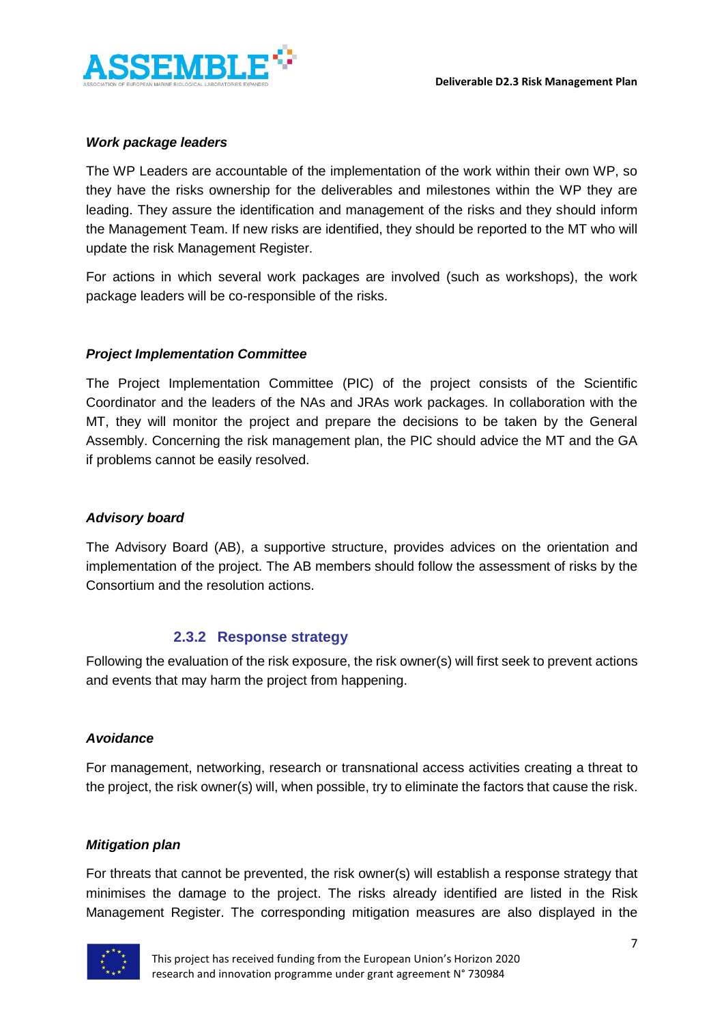#### *Work package leaders*

The WP Leaders are accountable of the implementation of the work within their own WP, so they have the risks ownership for the deliverables and milestones within the WP they are leading. They assure the identification and management of the risks and they should inform the Management Team. If new risks are identified, they should be reported to the MT who will update the risk Management Register.

For actions in which several work packages are involved (such as workshops), the work package leaders will be co-responsible of the risks.

#### *Project Implementation Committee*

The Project Implementation Committee (PIC) of the project consists of the Scientific Coordinator and the leaders of the NAs and JRAs work packages. In collaboration with the MT, they will monitor the project and prepare the decisions to be taken by the General Assembly. Concerning the risk management plan, the PIC should advice the MT and the GA if problems cannot be easily resolved.

#### *Advisory board*

The Advisory Board (AB), a supportive structure, provides advices on the orientation and implementation of the project. The AB members should follow the assessment of risks by the Consortium and the resolution actions.

#### **2.3.2 Response strategy**

<span id="page-6-0"></span>Following the evaluation of the risk exposure, the risk owner(s) will first seek to prevent actions and events that may harm the project from happening.

#### *Avoidance*

For management, networking, research or transnational access activities creating a threat to the project, the risk owner(s) will, when possible, try to eliminate the factors that cause the risk.

#### *Mitigation plan*

For threats that cannot be prevented, the risk owner(s) will establish a response strategy that minimises the damage to the project. The risks already identified are listed in the Risk Management Register. The corresponding mitigation measures are also displayed in the

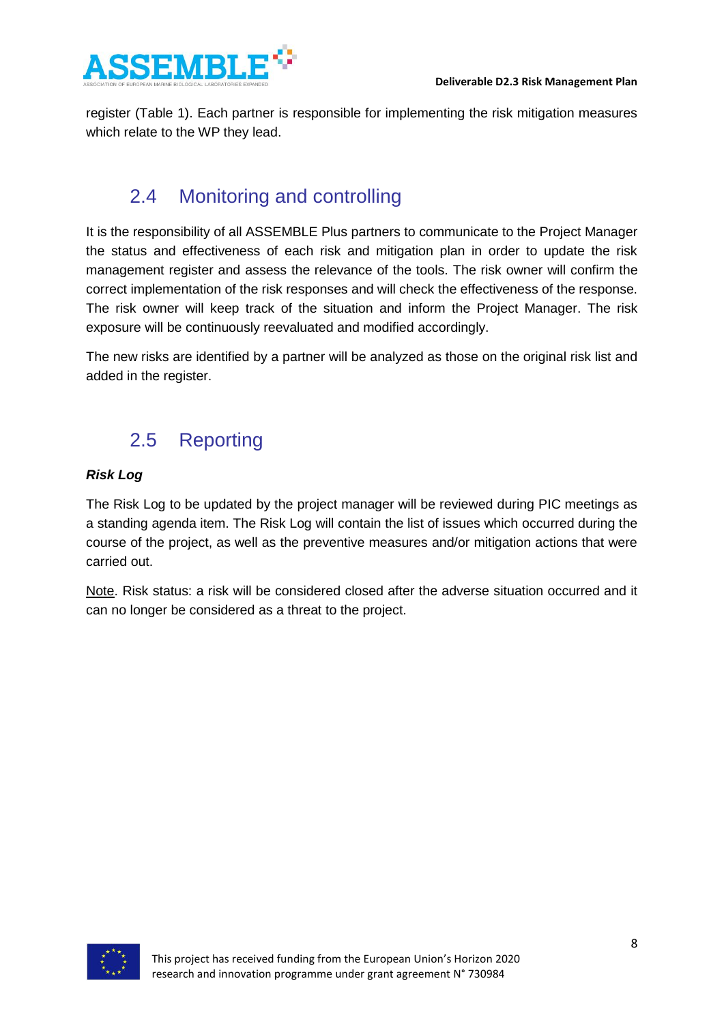

register (Table 1). Each partner is responsible for implementing the risk mitigation measures which relate to the WP they lead.

### 2.4 Monitoring and controlling

<span id="page-7-0"></span>It is the responsibility of all ASSEMBLE Plus partners to communicate to the Project Manager the status and effectiveness of each risk and mitigation plan in order to update the risk management register and assess the relevance of the tools. The risk owner will confirm the correct implementation of the risk responses and will check the effectiveness of the response. The risk owner will keep track of the situation and inform the Project Manager. The risk exposure will be continuously reevaluated and modified accordingly.

The new risks are identified by a partner will be analyzed as those on the original risk list and added in the register.

## 2.5 Reporting

#### <span id="page-7-1"></span>*Risk Log*

The Risk Log to be updated by the project manager will be reviewed during PIC meetings as a standing agenda item. The Risk Log will contain the list of issues which occurred during the course of the project, as well as the preventive measures and/or mitigation actions that were carried out.

Note. Risk status: a risk will be considered closed after the adverse situation occurred and it can no longer be considered as a threat to the project.

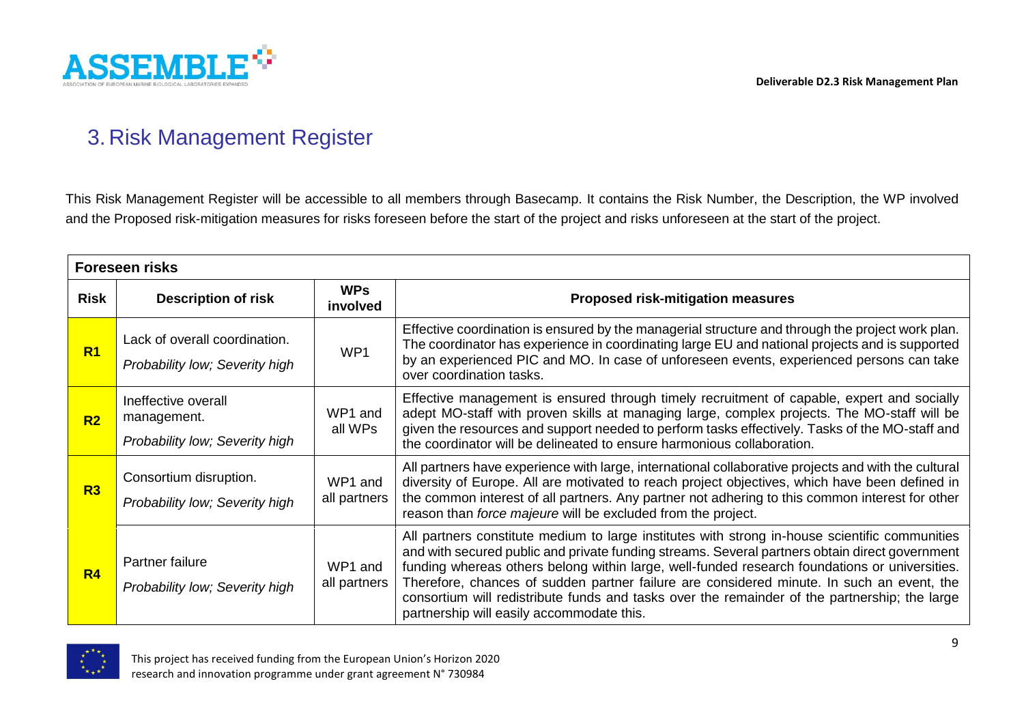

## 3. Risk Management Register

This Risk Management Register will be accessible to all members through Basecamp. It contains the Risk Number, the Description, the WP involved and the Proposed risk-mitigation measures for risks foreseen before the start of the project and risks unforeseen at the start of the project.

<span id="page-8-0"></span>

|                | <b>Foreseen risks</b>                                                |                         |                                                                                                                                                                                                                                                                                                                                                                                                                                                                                                                                              |  |  |  |
|----------------|----------------------------------------------------------------------|-------------------------|----------------------------------------------------------------------------------------------------------------------------------------------------------------------------------------------------------------------------------------------------------------------------------------------------------------------------------------------------------------------------------------------------------------------------------------------------------------------------------------------------------------------------------------------|--|--|--|
| <b>Risk</b>    | <b>Description of risk</b>                                           | <b>WPs</b><br>involved  | <b>Proposed risk-mitigation measures</b>                                                                                                                                                                                                                                                                                                                                                                                                                                                                                                     |  |  |  |
| R <sub>1</sub> | Lack of overall coordination.<br>Probability low; Severity high      | WP1                     | Effective coordination is ensured by the managerial structure and through the project work plan.<br>The coordinator has experience in coordinating large EU and national projects and is supported<br>by an experienced PIC and MO. In case of unforeseen events, experienced persons can take<br>over coordination tasks.                                                                                                                                                                                                                   |  |  |  |
| R <sub>2</sub> | Ineffective overall<br>management.<br>Probability low; Severity high | WP1 and<br>all WPs      | Effective management is ensured through timely recruitment of capable, expert and socially<br>adept MO-staff with proven skills at managing large, complex projects. The MO-staff will be<br>given the resources and support needed to perform tasks effectively. Tasks of the MO-staff and<br>the coordinator will be delineated to ensure harmonious collaboration.                                                                                                                                                                        |  |  |  |
| R3             | Consortium disruption.<br>Probability low; Severity high             | WP1 and<br>all partners | All partners have experience with large, international collaborative projects and with the cultural<br>diversity of Europe. All are motivated to reach project objectives, which have been defined in<br>the common interest of all partners. Any partner not adhering to this common interest for other<br>reason than force majeure will be excluded from the project.                                                                                                                                                                     |  |  |  |
| R <sub>4</sub> | Partner failure<br>Probability low; Severity high                    | WP1 and<br>all partners | All partners constitute medium to large institutes with strong in-house scientific communities<br>and with secured public and private funding streams. Several partners obtain direct government<br>funding whereas others belong within large, well-funded research foundations or universities.<br>Therefore, chances of sudden partner failure are considered minute. In such an event, the<br>consortium will redistribute funds and tasks over the remainder of the partnership; the large<br>partnership will easily accommodate this. |  |  |  |

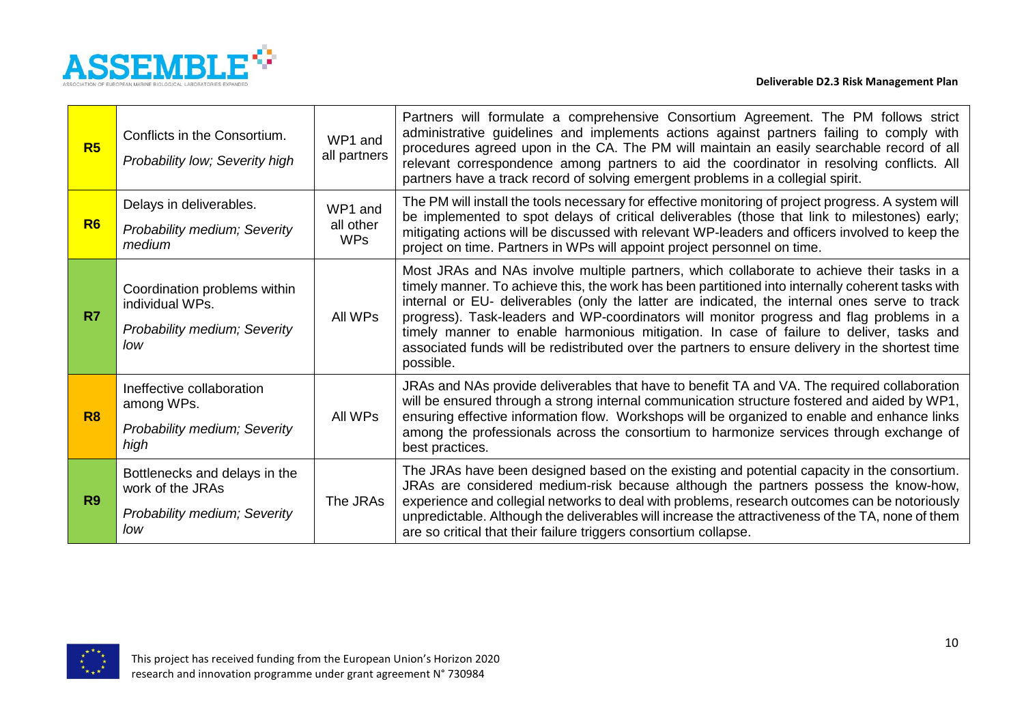

| R5             | Conflicts in the Consortium.<br>Probability low; Severity high                           | WP1 and<br>all partners            | Partners will formulate a comprehensive Consortium Agreement. The PM follows strict<br>administrative guidelines and implements actions against partners failing to comply with<br>procedures agreed upon in the CA. The PM will maintain an easily searchable record of all<br>relevant correspondence among partners to aid the coordinator in resolving conflicts. All<br>partners have a track record of solving emergent problems in a collegial spirit.                                                                                                                                            |
|----------------|------------------------------------------------------------------------------------------|------------------------------------|----------------------------------------------------------------------------------------------------------------------------------------------------------------------------------------------------------------------------------------------------------------------------------------------------------------------------------------------------------------------------------------------------------------------------------------------------------------------------------------------------------------------------------------------------------------------------------------------------------|
| R6             | Delays in deliverables.<br>Probability medium; Severity<br>medium                        | WP1 and<br>all other<br><b>WPs</b> | The PM will install the tools necessary for effective monitoring of project progress. A system will<br>be implemented to spot delays of critical deliverables (those that link to milestones) early;<br>mitigating actions will be discussed with relevant WP-leaders and officers involved to keep the<br>project on time. Partners in WPs will appoint project personnel on time.                                                                                                                                                                                                                      |
| R7             | Coordination problems within<br>individual WPs.<br>Probability medium; Severity<br>low   | All WPs                            | Most JRAs and NAs involve multiple partners, which collaborate to achieve their tasks in a<br>timely manner. To achieve this, the work has been partitioned into internally coherent tasks with<br>internal or EU- deliverables (only the latter are indicated, the internal ones serve to track<br>progress). Task-leaders and WP-coordinators will monitor progress and flag problems in a<br>timely manner to enable harmonious mitigation. In case of failure to deliver, tasks and<br>associated funds will be redistributed over the partners to ensure delivery in the shortest time<br>possible. |
| R <sub>8</sub> | Ineffective collaboration<br>among WPs.<br>Probability medium; Severity<br>high          | All WPs                            | JRAs and NAs provide deliverables that have to benefit TA and VA. The required collaboration<br>will be ensured through a strong internal communication structure fostered and aided by WP1,<br>ensuring effective information flow. Workshops will be organized to enable and enhance links<br>among the professionals across the consortium to harmonize services through exchange of<br>best practices.                                                                                                                                                                                               |
| R <sub>9</sub> | Bottlenecks and delays in the<br>work of the JRAs<br>Probability medium; Severity<br>low | The JRAs                           | The JRAs have been designed based on the existing and potential capacity in the consortium.<br>JRAs are considered medium-risk because although the partners possess the know-how,<br>experience and collegial networks to deal with problems, research outcomes can be notoriously<br>unpredictable. Although the deliverables will increase the attractiveness of the TA, none of them<br>are so critical that their failure triggers consortium collapse.                                                                                                                                             |

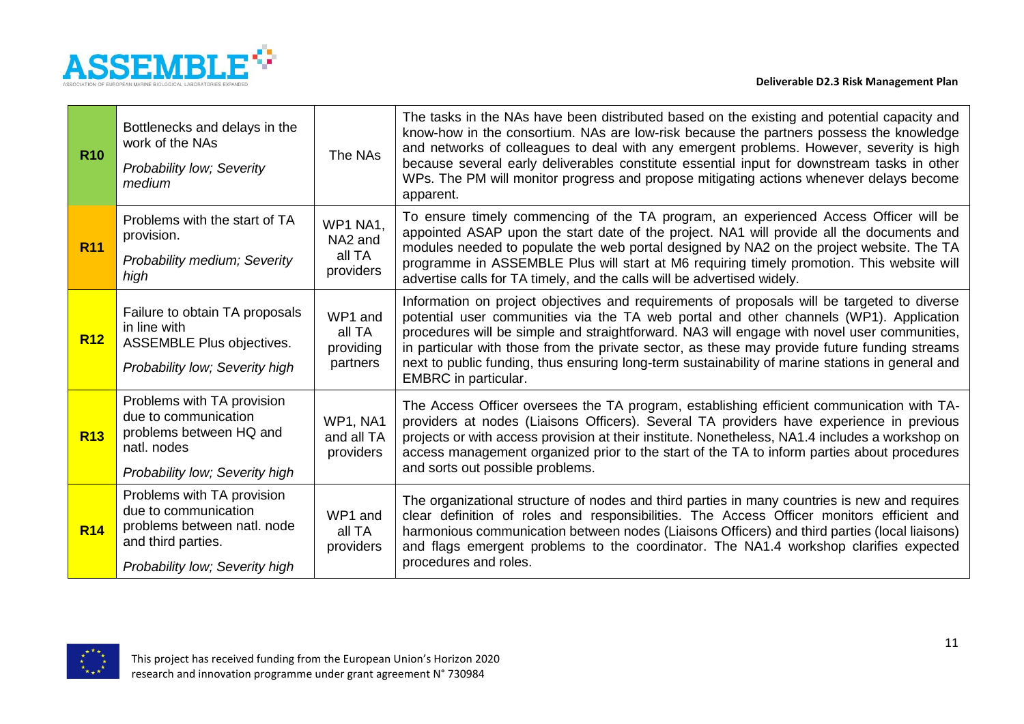

| <b>R10</b> | Bottlenecks and delays in the<br>work of the NAs<br>Probability low; Severity<br>medium                                                   | The NAs                                                       | The tasks in the NAs have been distributed based on the existing and potential capacity and<br>know-how in the consortium. NAs are low-risk because the partners possess the knowledge<br>and networks of colleagues to deal with any emergent problems. However, severity is high<br>because several early deliverables constitute essential input for downstream tasks in other<br>WPs. The PM will monitor progress and propose mitigating actions whenever delays become<br>apparent.                         |
|------------|-------------------------------------------------------------------------------------------------------------------------------------------|---------------------------------------------------------------|-------------------------------------------------------------------------------------------------------------------------------------------------------------------------------------------------------------------------------------------------------------------------------------------------------------------------------------------------------------------------------------------------------------------------------------------------------------------------------------------------------------------|
| <b>R11</b> | Problems with the start of TA<br>provision.<br>Probability medium; Severity<br>high                                                       | <b>WP1 NA1,</b><br>NA <sub>2</sub> and<br>all TA<br>providers | To ensure timely commencing of the TA program, an experienced Access Officer will be<br>appointed ASAP upon the start date of the project. NA1 will provide all the documents and<br>modules needed to populate the web portal designed by NA2 on the project website. The TA<br>programme in ASSEMBLE Plus will start at M6 requiring timely promotion. This website will<br>advertise calls for TA timely, and the calls will be advertised widely.                                                             |
| <b>R12</b> | Failure to obtain TA proposals<br>in line with<br><b>ASSEMBLE Plus objectives.</b><br>Probability low; Severity high                      | WP1 and<br>all TA<br>providing<br>partners                    | Information on project objectives and requirements of proposals will be targeted to diverse<br>potential user communities via the TA web portal and other channels (WP1). Application<br>procedures will be simple and straightforward. NA3 will engage with novel user communities,<br>in particular with those from the private sector, as these may provide future funding streams<br>next to public funding, thus ensuring long-term sustainability of marine stations in general and<br>EMBRC in particular. |
| <b>R13</b> | Problems with TA provision<br>due to communication<br>problems between HQ and<br>natl. nodes<br>Probability low; Severity high            | WP1, NA1<br>and all TA<br>providers                           | The Access Officer oversees the TA program, establishing efficient communication with TA-<br>providers at nodes (Liaisons Officers). Several TA providers have experience in previous<br>projects or with access provision at their institute. Nonetheless, NA1.4 includes a workshop on<br>access management organized prior to the start of the TA to inform parties about procedures<br>and sorts out possible problems.                                                                                       |
| <b>R14</b> | Problems with TA provision<br>due to communication<br>problems between natl. node<br>and third parties.<br>Probability low; Severity high | WP1 and<br>all TA<br>providers                                | The organizational structure of nodes and third parties in many countries is new and requires<br>clear definition of roles and responsibilities. The Access Officer monitors efficient and<br>harmonious communication between nodes (Liaisons Officers) and third parties (local liaisons)<br>and flags emergent problems to the coordinator. The NA1.4 workshop clarifies expected<br>procedures and roles.                                                                                                     |

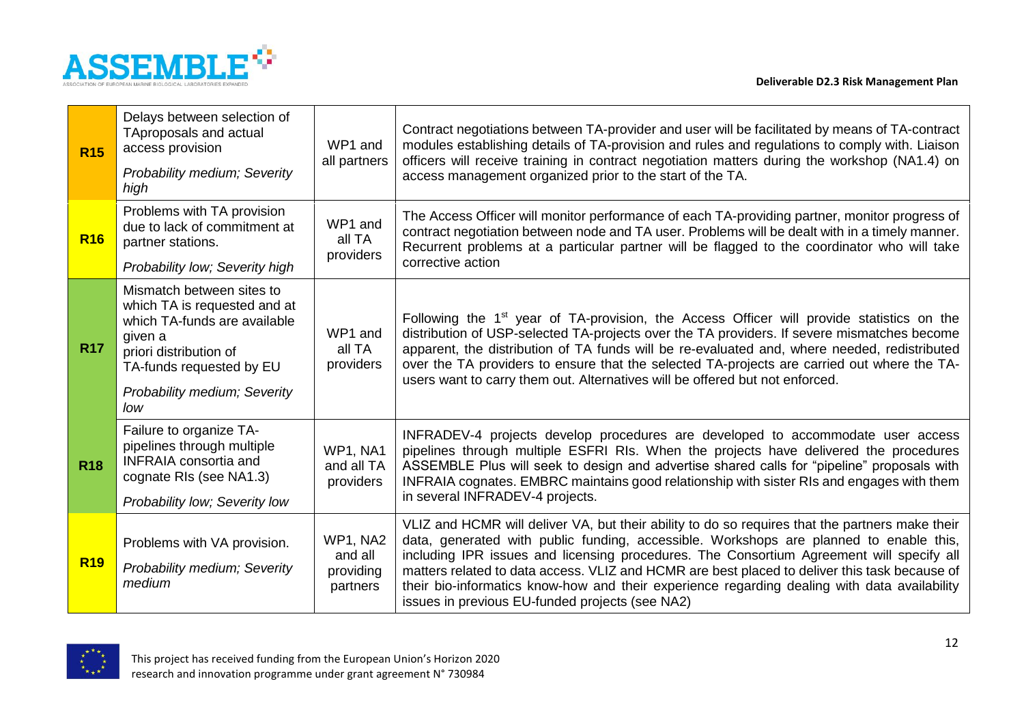

| <b>R15</b> | Delays between selection of<br>TAproposals and actual<br>access provision<br>Probability medium; Severity<br>high                                                                                 | WP1 and<br>all partners                      | Contract negotiations between TA-provider and user will be facilitated by means of TA-contract<br>modules establishing details of TA-provision and rules and regulations to comply with. Liaison<br>officers will receive training in contract negotiation matters during the workshop (NA1.4) on<br>access management organized prior to the start of the TA.                                                                                                                                                                            |  |  |
|------------|---------------------------------------------------------------------------------------------------------------------------------------------------------------------------------------------------|----------------------------------------------|-------------------------------------------------------------------------------------------------------------------------------------------------------------------------------------------------------------------------------------------------------------------------------------------------------------------------------------------------------------------------------------------------------------------------------------------------------------------------------------------------------------------------------------------|--|--|
| <b>R16</b> | Problems with TA provision<br>due to lack of commitment at<br>partner stations.<br>Probability low; Severity high                                                                                 | WP1 and<br>all TA<br>providers               | The Access Officer will monitor performance of each TA-providing partner, monitor progress of<br>contract negotiation between node and TA user. Problems will be dealt with in a timely manner.<br>Recurrent problems at a particular partner will be flagged to the coordinator who will take<br>corrective action                                                                                                                                                                                                                       |  |  |
| <b>R17</b> | Mismatch between sites to<br>which TA is requested and at<br>which TA-funds are available<br>given a<br>priori distribution of<br>TA-funds requested by EU<br>Probability medium; Severity<br>low | WP1 and<br>all TA<br>providers               | Following the 1 <sup>st</sup> year of TA-provision, the Access Officer will provide statistics on the<br>distribution of USP-selected TA-projects over the TA providers. If severe mismatches become<br>apparent, the distribution of TA funds will be re-evaluated and, where needed, redistributed<br>over the TA providers to ensure that the selected TA-projects are carried out where the TA-<br>users want to carry them out. Alternatives will be offered but not enforced.                                                       |  |  |
| <b>R18</b> | Failure to organize TA-<br>pipelines through multiple<br><b>INFRAIA</b> consortia and<br>cognate RIs (see NA1.3)<br>Probability low; Severity low                                                 | WP1, NA1<br>and all TA<br>providers          | INFRADEV-4 projects develop procedures are developed to accommodate user access<br>pipelines through multiple ESFRI RIs. When the projects have delivered the procedures<br>ASSEMBLE Plus will seek to design and advertise shared calls for "pipeline" proposals with<br>INFRAIA cognates. EMBRC maintains good relationship with sister RIs and engages with them<br>in several INFRADEV-4 projects.                                                                                                                                    |  |  |
| <b>R19</b> | Problems with VA provision.<br>Probability medium; Severity<br>medium                                                                                                                             | WP1, NA2<br>and all<br>providing<br>partners | VLIZ and HCMR will deliver VA, but their ability to do so requires that the partners make their<br>data, generated with public funding, accessible. Workshops are planned to enable this,<br>including IPR issues and licensing procedures. The Consortium Agreement will specify all<br>matters related to data access. VLIZ and HCMR are best placed to deliver this task because of<br>their bio-informatics know-how and their experience regarding dealing with data availability<br>issues in previous EU-funded projects (see NA2) |  |  |

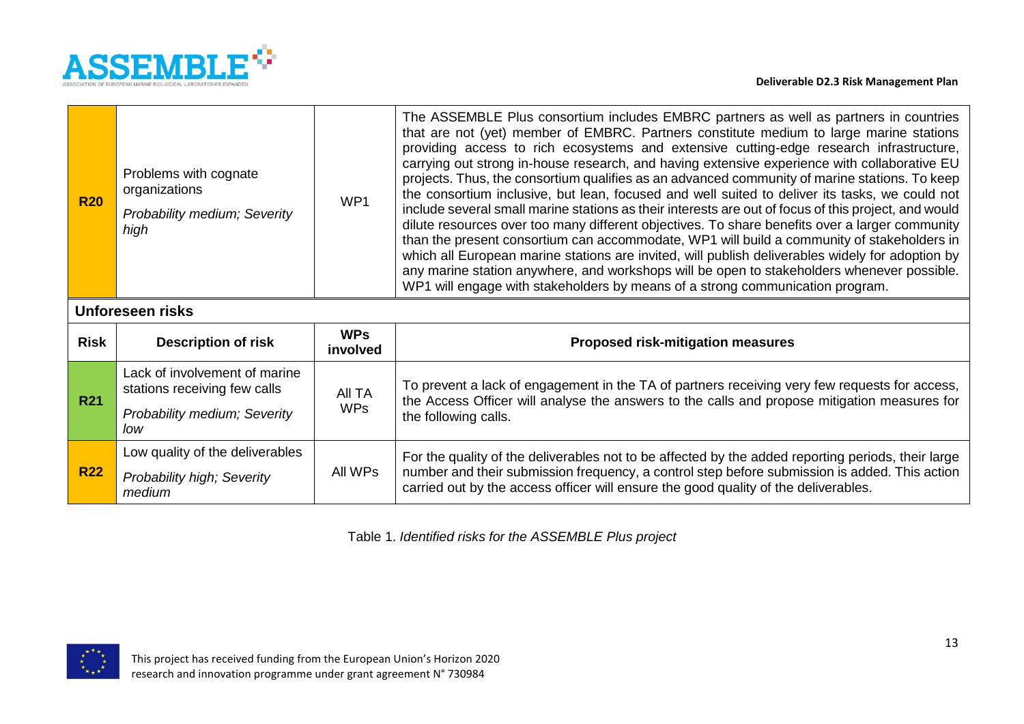

| <b>R20</b>  | Problems with cognate<br>organizations<br>Probability medium; Severity<br>high | WP1                    | The ASSEMBLE Plus consortium includes EMBRC partners as well as partners in countries<br>that are not (yet) member of EMBRC. Partners constitute medium to large marine stations<br>providing access to rich ecosystems and extensive cutting-edge research infrastructure,<br>carrying out strong in-house research, and having extensive experience with collaborative EU<br>projects. Thus, the consortium qualifies as an advanced community of marine stations. To keep<br>the consortium inclusive, but lean, focused and well suited to deliver its tasks, we could not<br>include several small marine stations as their interests are out of focus of this project, and would<br>dilute resources over too many different objectives. To share benefits over a larger community<br>than the present consortium can accommodate, WP1 will build a community of stakeholders in<br>which all European marine stations are invited, will publish deliverables widely for adoption by<br>any marine station anywhere, and workshops will be open to stakeholders whenever possible.<br>WP1 will engage with stakeholders by means of a strong communication program. |  |  |  |  |
|-------------|--------------------------------------------------------------------------------|------------------------|---------------------------------------------------------------------------------------------------------------------------------------------------------------------------------------------------------------------------------------------------------------------------------------------------------------------------------------------------------------------------------------------------------------------------------------------------------------------------------------------------------------------------------------------------------------------------------------------------------------------------------------------------------------------------------------------------------------------------------------------------------------------------------------------------------------------------------------------------------------------------------------------------------------------------------------------------------------------------------------------------------------------------------------------------------------------------------------------------------------------------------------------------------------------------|--|--|--|--|
|             | Unforeseen risks                                                               |                        |                                                                                                                                                                                                                                                                                                                                                                                                                                                                                                                                                                                                                                                                                                                                                                                                                                                                                                                                                                                                                                                                                                                                                                           |  |  |  |  |
| <b>Risk</b> | <b>Description of risk</b>                                                     | <b>WPs</b><br>involved | <b>Proposed risk-mitigation measures</b>                                                                                                                                                                                                                                                                                                                                                                                                                                                                                                                                                                                                                                                                                                                                                                                                                                                                                                                                                                                                                                                                                                                                  |  |  |  |  |
| <b>R21</b>  | Lack of involvement of marine<br>stations receiving few calls                  | AII TA                 | To prevent a lack of engagement in the TA of partners receiving very few requests for access,<br>the Access Officer will analyse the answers to the calls and propose mitigation measures for                                                                                                                                                                                                                                                                                                                                                                                                                                                                                                                                                                                                                                                                                                                                                                                                                                                                                                                                                                             |  |  |  |  |
|             | Probability medium; Severity<br>low                                            | <b>WPs</b>             | the following calls.                                                                                                                                                                                                                                                                                                                                                                                                                                                                                                                                                                                                                                                                                                                                                                                                                                                                                                                                                                                                                                                                                                                                                      |  |  |  |  |
|             | Low quality of the deliverables                                                |                        | For the quality of the deliverables not to be affected by the added reporting periods, their large                                                                                                                                                                                                                                                                                                                                                                                                                                                                                                                                                                                                                                                                                                                                                                                                                                                                                                                                                                                                                                                                        |  |  |  |  |
| <b>R22</b>  | Probability high; Severity<br>medium                                           | All WPs                | number and their submission frequency, a control step before submission is added. This action<br>carried out by the access officer will ensure the good quality of the deliverables.                                                                                                                                                                                                                                                                                                                                                                                                                                                                                                                                                                                                                                                                                                                                                                                                                                                                                                                                                                                      |  |  |  |  |

Table 1. *Identified risks for the ASSEMBLE Plus project*

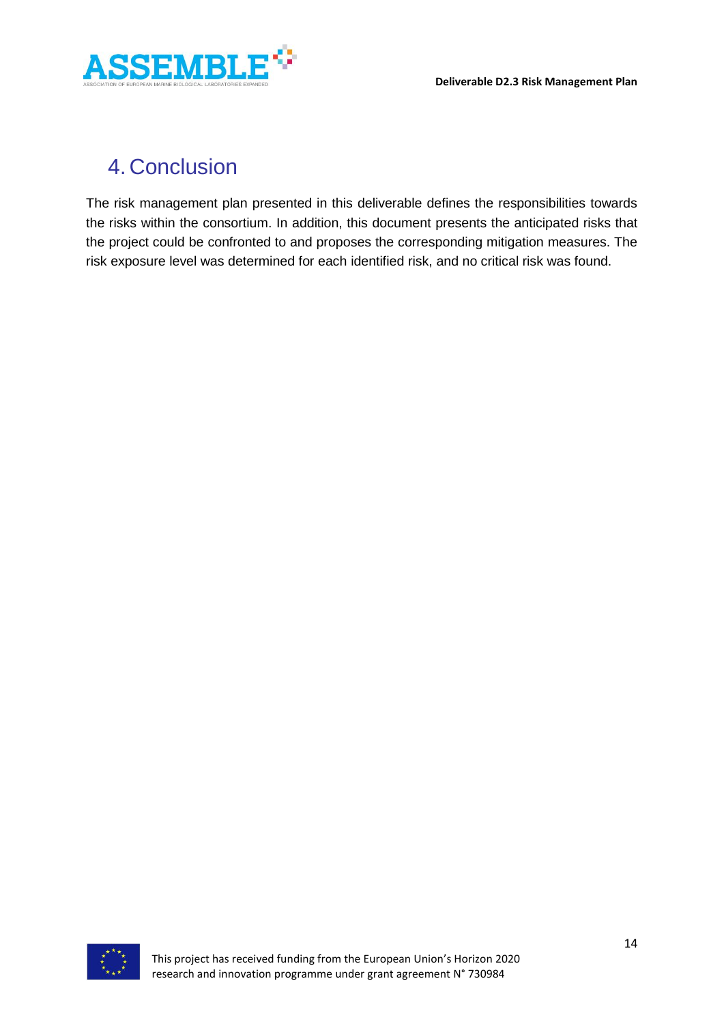



# <span id="page-13-0"></span>4. Conclusion

The risk management plan presented in this deliverable defines the responsibilities towards the risks within the consortium. In addition, this document presents the anticipated risks that the project could be confronted to and proposes the corresponding mitigation measures. The risk exposure level was determined for each identified risk, and no critical risk was found.